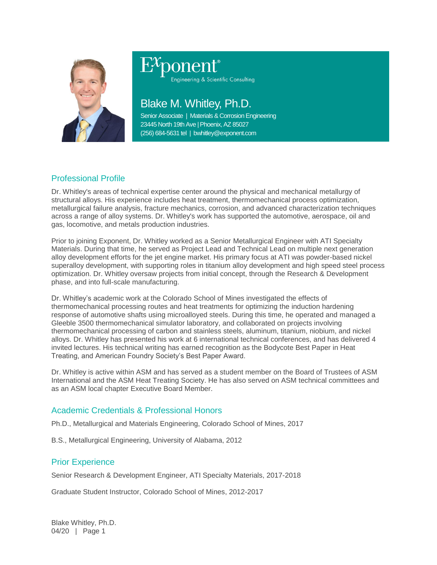

# Engineering & Scientific Consulting

## Blake M. Whitley, Ph.D.

Senior Associate | Materials & Corrosion Engineering 23445 North 19th Ave | Phoenix, AZ 85027 (256) 684-5631 tel | bwhitley@exponent.com

### Professional Profile

Dr. Whitley's areas of technical expertise center around the physical and mechanical metallurgy of structural alloys. His experience includes heat treatment, thermomechanical process optimization, metallurgical failure analysis, fracture mechanics, corrosion, and advanced characterization techniques across a range of alloy systems. Dr. Whitley's work has supported the automotive, aerospace, oil and gas, locomotive, and metals production industries.

Prior to joining Exponent, Dr. Whitley worked as a Senior Metallurgical Engineer with ATI Specialty Materials. During that time, he served as Project Lead and Technical Lead on multiple next generation alloy development efforts for the jet engine market. His primary focus at ATI was powder-based nickel superalloy development, with supporting roles in titanium alloy development and high speed steel process optimization. Dr. Whitley oversaw projects from initial concept, through the Research & Development phase, and into full-scale manufacturing.

Dr. Whitley's academic work at the Colorado School of Mines investigated the effects of thermomechanical processing routes and heat treatments for optimizing the induction hardening response of automotive shafts using microalloyed steels. During this time, he operated and managed a Gleeble 3500 thermomechanical simulator laboratory, and collaborated on projects involving thermomechanical processing of carbon and stainless steels, aluminum, titanium, niobium, and nickel alloys. Dr. Whitley has presented his work at 6 international technical conferences, and has delivered 4 invited lectures. His technical writing has earned recognition as the Bodycote Best Paper in Heat Treating, and American Foundry Society's Best Paper Award.

Dr. Whitley is active within ASM and has served as a student member on the Board of Trustees of ASM International and the ASM Heat Treating Society. He has also served on ASM technical committees and as an ASM local chapter Executive Board Member.

#### Academic Credentials & Professional Honors

Ph.D., Metallurgical and Materials Engineering, Colorado School of Mines, 2017

B.S., Metallurgical Engineering, University of Alabama, 2012

#### Prior Experience

Senior Research & Development Engineer, ATI Specialty Materials, 2017-2018

Graduate Student Instructor, Colorado School of Mines, 2012-2017

Blake Whitley, Ph.D. 04/20 | Page 1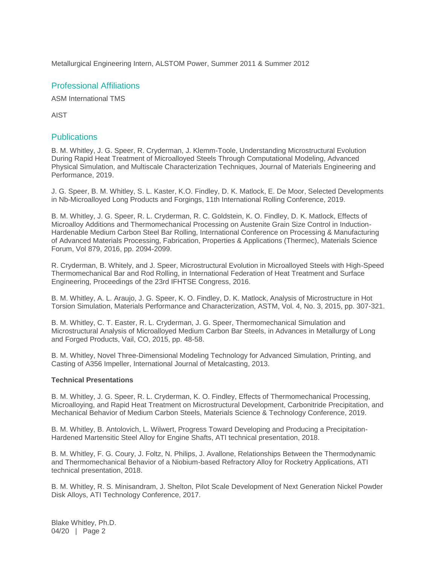Metallurgical Engineering Intern, ALSTOM Power, Summer 2011 & Summer 2012

#### Professional Affiliations

ASM International TMS

AIST

#### **Publications**

B. M. Whitley, J. G. Speer, R. Cryderman, J. Klemm-Toole, Understanding Microstructural Evolution During Rapid Heat Treatment of Microalloyed Steels Through Computational Modeling, Advanced Physical Simulation, and Multiscale Characterization Techniques, Journal of Materials Engineering and Performance, 2019.

J. G. Speer, B. M. Whitley, S. L. Kaster, K.O. Findley, D. K. Matlock, E. De Moor, Selected Developments in Nb-Microalloyed Long Products and Forgings, 11th International Rolling Conference, 2019.

B. M. Whitley, J. G. Speer, R. L. Cryderman, R. C. Goldstein, K. O. Findley, D. K. Matlock, Effects of Microalloy Additions and Thermomechanical Processing on Austenite Grain Size Control in Induction-Hardenable Medium Carbon Steel Bar Rolling, International Conference on Processing & Manufacturing of Advanced Materials Processing, Fabrication, Properties & Applications (Thermec), Materials Science Forum, Vol 879, 2016, pp. 2094-2099.

R. Cryderman, B. Whitely, and J. Speer, Microstructural Evolution in Microalloyed Steels with High-Speed Thermomechanical Bar and Rod Rolling, in International Federation of Heat Treatment and Surface Engineering, Proceedings of the 23rd IFHTSE Congress, 2016.

B. M. Whitley, A. L. Araujo, J. G. Speer, K. O. Findley, D. K. Matlock, Analysis of Microstructure in Hot Torsion Simulation, Materials Performance and Characterization, ASTM, Vol. 4, No. 3, 2015, pp. 307-321.

B. M. Whitley, C. T. Easter, R. L. Cryderman, J. G. Speer, Thermomechanical Simulation and Microstructural Analysis of Microalloyed Medium Carbon Bar Steels, in Advances in Metallurgy of Long and Forged Products, Vail, CO, 2015, pp. 48-58.

B. M. Whitley, Novel Three-Dimensional Modeling Technology for Advanced Simulation, Printing, and Casting of A356 Impeller, International Journal of Metalcasting, 2013.

#### **Technical Presentations**

B. M. Whitley, J. G. Speer, R. L. Cryderman, K. O. Findley, Effects of Thermomechanical Processing, Microalloying, and Rapid Heat Treatment on Microstructural Development, Carbonitride Precipitation, and Mechanical Behavior of Medium Carbon Steels, Materials Science & Technology Conference, 2019.

B. M. Whitley, B. Antolovich, L. Wilwert, Progress Toward Developing and Producing a Precipitation-Hardened Martensitic Steel Alloy for Engine Shafts, ATI technical presentation, 2018.

B. M. Whitley, F. G. Coury, J. Foltz, N. Philips, J. Avallone, Relationships Between the Thermodynamic and Thermomechanical Behavior of a Niobium-based Refractory Alloy for Rocketry Applications, ATI technical presentation, 2018.

B. M. Whitley, R. S. Minisandram, J. Shelton, Pilot Scale Development of Next Generation Nickel Powder Disk Alloys, ATI Technology Conference, 2017.

Blake Whitley, Ph.D. 04/20 | Page 2